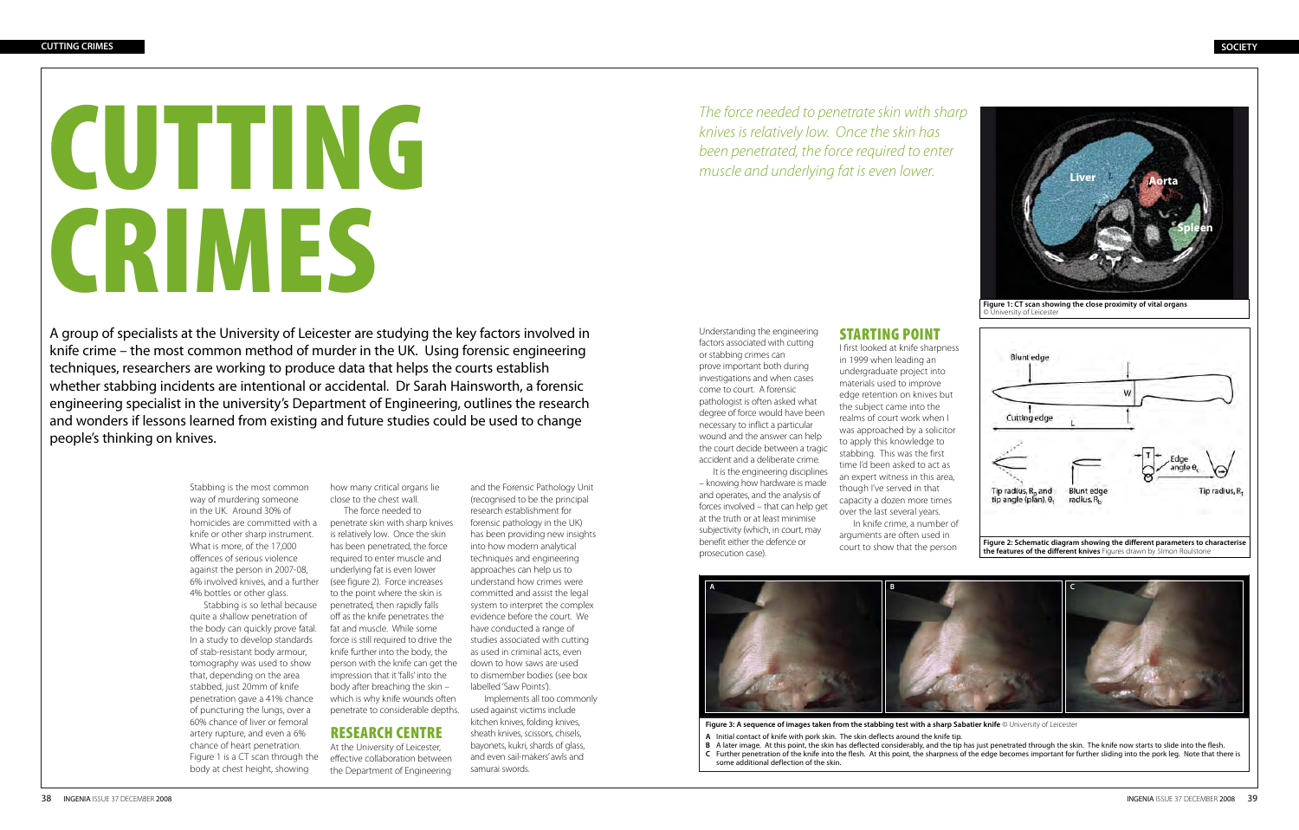Figure 3: A sequence of images taken from the stabbing test with a sharp Sabatier knife © University of Leicester **A** Initial contact of knife with pork skin. The skin deflects around the knife tip. **B** A later image. At this point, the skin has deflected considerably, and the tip has just penetrated through the skin. The knife now starts to slide into the flesh. **C** Further penetration of the knife into the flesh. At this point, the sharpness of the edge becomes important for further sliding into the pork leg. Note that there is some additional deflection of the skin.



A group of specialists at the University of Leicester are studying the key factors involved in knife crime – the most common method of murder in the UK. Using forensic engineering techniques, researchers are working to produce data that helps the courts establish whether stabbing incidents are intentional or accidental. Dr Sarah Hainsworth, a forensic engineering specialist in the university's Department of Engineering, outlines the research and wonders if lessons learned from existing and future studies could be used to change people's thinking on knives.

> Stabbing is the most common way of murdering someone in the UK. Around 30% of homicides are committed with a penetrate skin with sharp knives knife or other sharp instrument. What is more, of the 17,000 offences of serious violence against the person in 2007-08, 6% involved knives, and a further (see figure 2). Force increases 4% bottles or other glass.

Stabbing is so lethal because quite a shallow penetration of the body can quickly prove fatal. In a study to develop standards of stab-resistant body armour, tomography was used to show that, depending on the area stabbed, just 20mm of knife penetration gave a 41% chance of puncturing the lungs, over a 60% chance of liver or femoral artery rupture, and even a 6% chance of heart penetration. Figure 1 is a CT scan through the body at chest height, showing

how many critical organs lie close to the chest wall.

The force needed to is relatively low. Once the skin has been penetrated, the force required to enter muscle and underlying fat is even lower to the point where the skin is penetrated, then rapidly falls off as the knife penetrates the fat and muscle. While some force is still required to drive the knife further into the body, the person with the knife can get the impression that it 'falls' into the body after breaching the skin – which is why knife wounds often penetrate to considerable depths.

## Research centre

At the University of Leicester, effective collaboration between the Department of Engineering and the Forensic Pathology Unit

(recognised to be the principal research establishment for forensic pathology in the UK) has been providing new insights into how modern analytical techniques and engineering approaches can help us to understand how crimes were committed and assist the legal system to interpret the complex evidence before the court. We have conducted a range of studies associated with cutting as used in criminal acts, even down to how saws are used to dismember bodies (see box labelled 'Saw Points'). Implements all too commonly

used against victims include kitchen knives, folding knives, sheath knives, scissors, chisels, bayonets, kukri, shards of glass, and even sail-makers' awls and samurai swords.

# CUTTING CRIMES

#### **SOCIETY**

Understanding the engineering factors associated with cutting or stabbing crimes can prove important both during investigations and when cases come to court. A forensic pathologist is often asked what degree of force would have been necessary to inflict a particular wound and the answer can help the court decide between a tragic accident and a deliberate crime.

It is the engineering disciplines – knowing how hardware is made and operates, and the analysis of forces involved – that can help get at the truth or at least minimise subjectivity (which, in court, may benefit either the defence or prosecution case).



*The force needed to penetrate skin with sharp knives is relatively low. Once the skin has been penetrated, the force required to enter muscle and underlying fat is even lower.* 

### Starting point

I first looked at knife sharpness in 1999 when leading an undergraduate project into materials used to improve edge retention on knives but the subject came into the realms of court work when I was approached by a solicitor to apply this knowledge to stabbing. This was the first time I'd been asked to act as an expert witness in this area, though I've served in that capacity a dozen more times over the last several years. arguments are often used in court to show that the person

In knife crime, a number of



**Figure 1: CT scan showing the close proximity of vital organs** © University of Leicester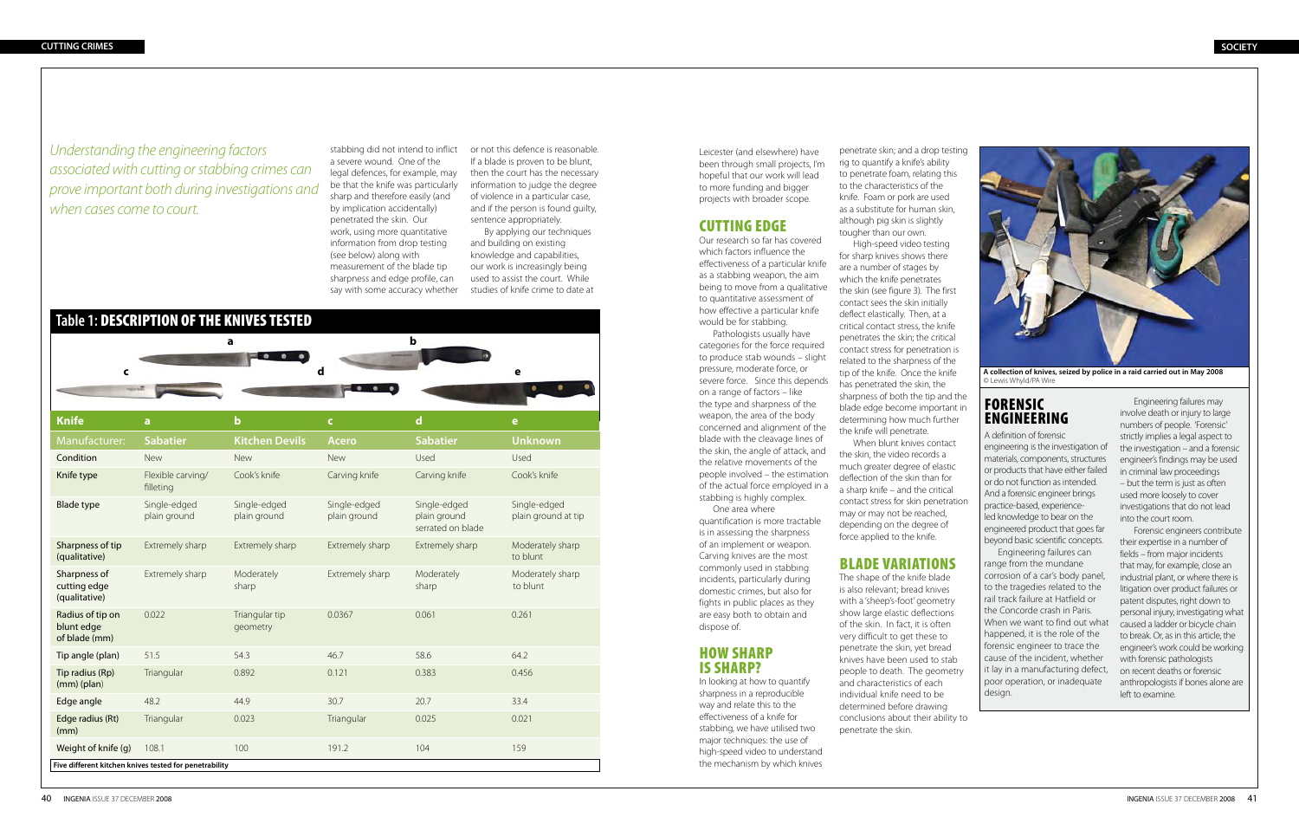stabbing did not intend to inflict or not this defence is reasonable. a severe wound. One of the legal defences, for example, may be that the knife was particularly sharp and therefore easily (and by implication accidentally) penetrated the skin. Our work, using more quantitative information from drop testing (see below) along with measurement of the blade tip sharpness and edge profile, can say with some accuracy whether

If a blade is proven to be blunt, then the court has the necessary information to judge the degree of violence in a particular case, and if the person is found guilty, sentence appropriately.

By applying our techniques and building on existing knowledge and capabilities, our work is increasingly being used to assist the court. While studies of knife crime to date at

*Understanding the engineering factors associated with cutting or stabbing crimes can prove important both during investigations and when cases come to court.* 

| Table 1: DESCRIPTION OF THE KNIVES TESTED              |                                |                              |                              |                                                   |                                     |
|--------------------------------------------------------|--------------------------------|------------------------------|------------------------------|---------------------------------------------------|-------------------------------------|
|                                                        |                                | a                            |                              | $\mathbf b$                                       |                                     |
|                                                        |                                |                              | d                            |                                                   | е                                   |
| $\mathsf{C}$                                           |                                |                              |                              |                                                   |                                     |
|                                                        |                                |                              |                              |                                                   |                                     |
| <b>Knife</b>                                           | a                              | $\mathbf b$                  | $\mathsf{C}$                 | $\mathbf d$                                       | $\mathbf e$                         |
| Manufacturer:                                          | <b>Sabatier</b>                | <b>Kitchen Devils</b>        | <b>Acero</b>                 | <b>Sabatier</b>                                   | <b>Unknown</b>                      |
| Condition                                              | <b>New</b>                     | New                          | New                          | Used                                              | Used                                |
| Knife type                                             | Flexible carving/<br>filleting | Cook's knife                 | Carving knife                | Carving knife                                     | Cook's knife                        |
| <b>Blade type</b>                                      | Single-edged<br>plain ground   | Single-edged<br>plain ground | Single-edged<br>plain ground | Single-edged<br>plain ground<br>serrated on blade | Single-edged<br>plain ground at tip |
| Sharpness of tip<br>(qualitative)                      | Extremely sharp                | Extremely sharp              | Extremely sharp              | Extremely sharp                                   | Moderately sharp<br>to blunt        |
| Sharpness of<br>cutting edge<br>(qualitative)          | Extremely sharp                | Moderately<br>sharp          | Extremely sharp              | Moderately<br>sharp                               | Moderately sharp<br>to blunt        |
| Radius of tip on<br>blunt edge<br>of blade (mm)        | 0.022                          | Triangular tip<br>geometry   | 0.0367                       | 0.061                                             | 0.261                               |
| Tip angle (plan)                                       | 51.5                           | 54.3                         | 46.7                         | 58.6                                              | 64.2                                |
| Tip radius (Rp)<br>$(mm)$ (plan)                       | Triangular                     | 0.892                        | 0.121                        | 0.383                                             | 0.456                               |
| Edge angle                                             | 48.2                           | 44.9                         | 30.7                         | 20.7                                              | 33.4                                |
| Edge radius (Rt)<br>(mm)                               | Triangular                     | 0.023                        | Triangular                   | 0.025                                             | 0.021                               |
| Weight of knife (g)                                    | 108.1                          | 100                          | 191.2                        | 104                                               | 159                                 |
| Five different kitchen knives tested for penetrability |                                |                              |                              |                                                   |                                     |

# FORENSIC ENGINEERING

A definition of forensic engineering is the investigation of materials, components, structures or products that have either failed or do not function as intended. And a forensic engineer brings practice-based, experienceled knowledge to bear on the engineered product that goes far beyond basic scientific concepts.

Engineering failures can range from the mundane corrosion of a car's body panel, to the tragedies related to the rail track failure at Hatfield or the Concorde crash in Paris. When we want to find out what happened, it is the role of the forensic engineer to trace the cause of the incident, whether it lay in a manufacturing defect, poor operation, or inadequate design.

Engineering failures may involve death or injury to large numbers of people. 'Forensic' strictly implies a legal aspect to the investigation – and a forensic engineer's findings may be used in criminal law proceedings – but the term is just as often used more loosely to cover investigations that do not lead into the court room.

Forensic engineers contribute their expertise in a number of fields – from major incidents that may, for example, close an industrial plant, or where there is litigation over product failures or patent disputes, right down to personal injury, investigating what caused a ladder or bicycle chain to break. Or, as in this article, the engineer's work could be working with forensic pathologists on recent deaths or forensic anthropologists if bones alone are left to examine.



**A collection of knives, seized by police in a raid carried out in May 2008**  © Lewis Whyld/PA Wire

Leicester (and elsewhere) have been through small projects, I'm hopeful that our work will lead to more funding and bigger projects with broader scope.

## **CUTTING EDGE**

Our research so far has covered which factors influence the effectiveness of a particular knife as a stabbing weapon, the aim being to move from a qualitative to quantitative assessment of how effective a particular knife would be for stabbing.

Pathologists usually have categories for the force required to produce stab wounds – slight pressure, moderate force, or severe force. Since this depends on a range of factors – like the type and sharpness of the weapon, the area of the body concerned and alignment of the blade with the cleavage lines of the skin, the angle of attack, and the relative movements of the people involved – the estimation of the actual force employed in a stabbing is highly complex.

One area where quantification is more tractable is in assessing the sharpness of an implement or weapon. Carving knives are the most commonly used in stabbing incidents, particularly during domestic crimes, but also for fights in public places as they are easy both to obtain and dispose of.

#### How sharp is sharp?

In looking at how to quantify sharpness in a reproducible way and relate this to the effectiveness of a knife for stabbing, we have utilised two major techniques: the use of high-speed video to understand the mechanism by which knives

penetrate skin; and a drop testing rig to quantify a knife's ability to penetrate foam, relating this to the characteristics of the knife. Foam or pork are used as a substitute for human skin, although pig skin is slightly tougher than our own. High-speed video testing for sharp knives shows there are a number of stages by which the knife penetrates the skin (see figure 3). The first contact sees the skin initially deflect elastically. Then, at a critical contact stress, the knife penetrates the skin; the critical contact stress for penetration is related to the sharpness of the tip of the knife. Once the knife has penetrated the skin, the sharpness of both the tip and the blade edge become important in determining how much further the knife will penetrate. When blunt knives contact

the skin, the video records a much greater degree of elastic deflection of the skin than for a sharp knife – and the critical contact stress for skin penetration may or may not be reached, depending on the degree of force applied to the knife.

## Blade variations

The shape of the knife blade is also relevant; bread knives with a 'sheep's-foot' geometry show large elastic deflections of the skin. In fact, it is often very difficult to get these to penetrate the skin, yet bread knives have been used to stab people to death. The geometry and characteristics of each individual knife need to be determined before drawing conclusions about their ability to penetrate the skin.